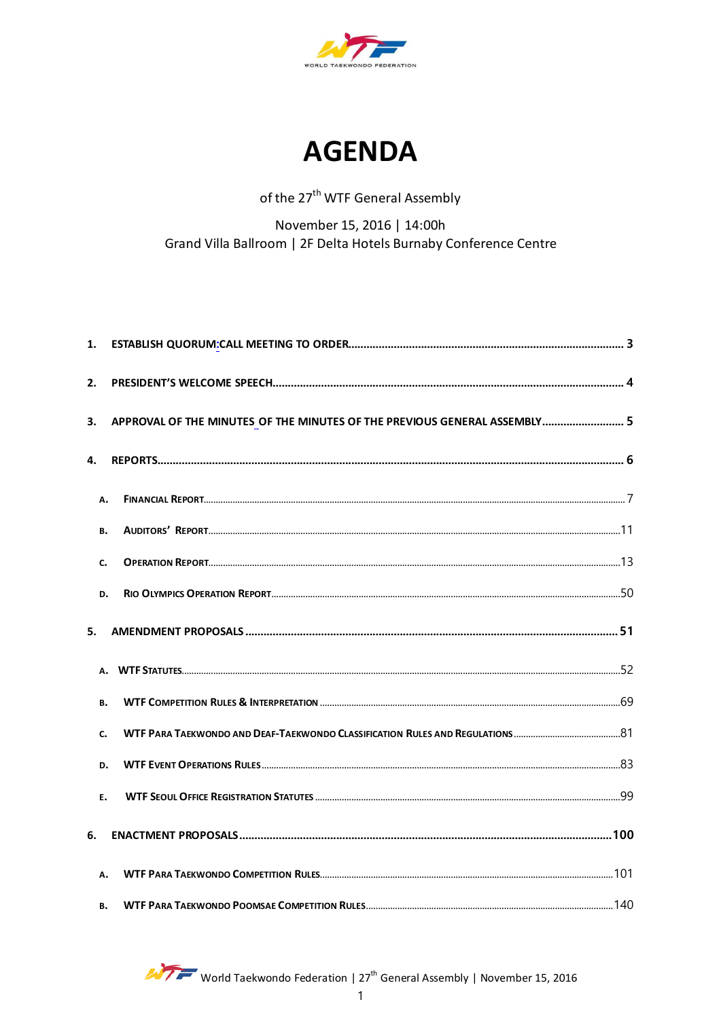



## of the 27<sup>th</sup> WTF General Assembly

November 15, 2016 | 14:00h Grand Villa Ballroom | 2F Delta Hotels Burnaby Conference Centre

| 1.        |                                                                           |  |
|-----------|---------------------------------------------------------------------------|--|
| 2.        |                                                                           |  |
| 3.        | APPROVAL OF THE MINUTES OF THE MINUTES OF THE PREVIOUS GENERAL ASSEMBLY 5 |  |
| 4.        |                                                                           |  |
|           | А.                                                                        |  |
| <b>B.</b> |                                                                           |  |
| c.        |                                                                           |  |
| D.        |                                                                           |  |
| 5.        |                                                                           |  |
|           |                                                                           |  |
| <b>B.</b> |                                                                           |  |
| c.        |                                                                           |  |
|           | D.                                                                        |  |
| Ε.        |                                                                           |  |
| 6.        |                                                                           |  |
|           | А.                                                                        |  |
| <b>B.</b> |                                                                           |  |